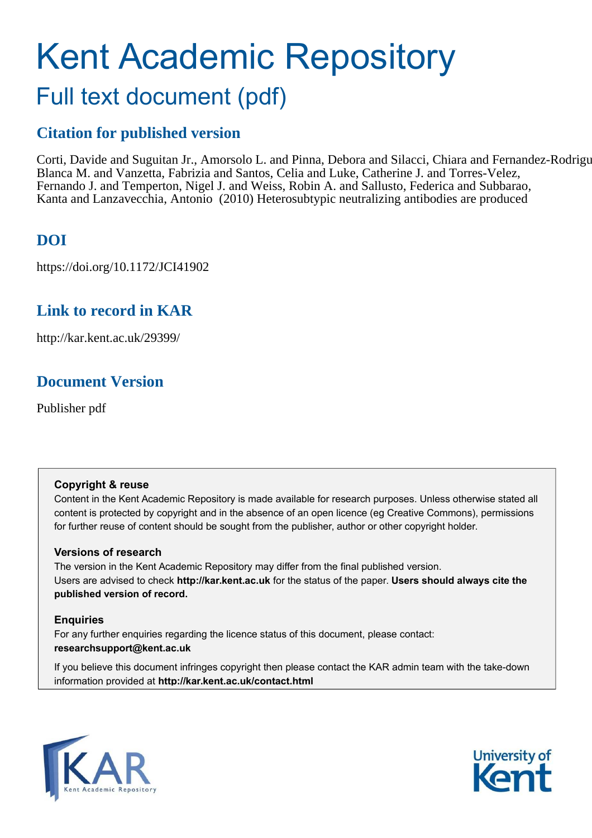# Kent Academic Repository Full text document (pdf)

## **Citation for published version**

Corti, Davide and Suguitan Jr., Amorsolo L. and Pinna, Debora and Silacci, Chiara and Fernandez-Rodrigu Blanca M. and Vanzetta, Fabrizia and Santos, Celia and Luke, Catherine J. and Torres-Velez, Fernando J. and Temperton, Nigel J. and Weiss, Robin A. and Sallusto, Federica and Subbarao, Kanta and Lanzavecchia, Antonio (2010) Heterosubtypic neutralizing antibodies are produced

## **DOI**

https://doi.org/10.1172/JCI41902

## **Link to record in KAR**

http://kar.kent.ac.uk/29399/

## **Document Version**

Publisher pdf

#### **Copyright & reuse**

Content in the Kent Academic Repository is made available for research purposes. Unless otherwise stated all content is protected by copyright and in the absence of an open licence (eg Creative Commons), permissions for further reuse of content should be sought from the publisher, author or other copyright holder.

#### **Versions of research**

The version in the Kent Academic Repository may differ from the final published version. Users are advised to check **http://kar.kent.ac.uk** for the status of the paper. **Users should always cite the published version of record.**

#### **Enquiries**

For any further enquiries regarding the licence status of this document, please contact: **researchsupport@kent.ac.uk**

If you believe this document infringes copyright then please contact the KAR admin team with the take-down information provided at **http://kar.kent.ac.uk/contact.html**



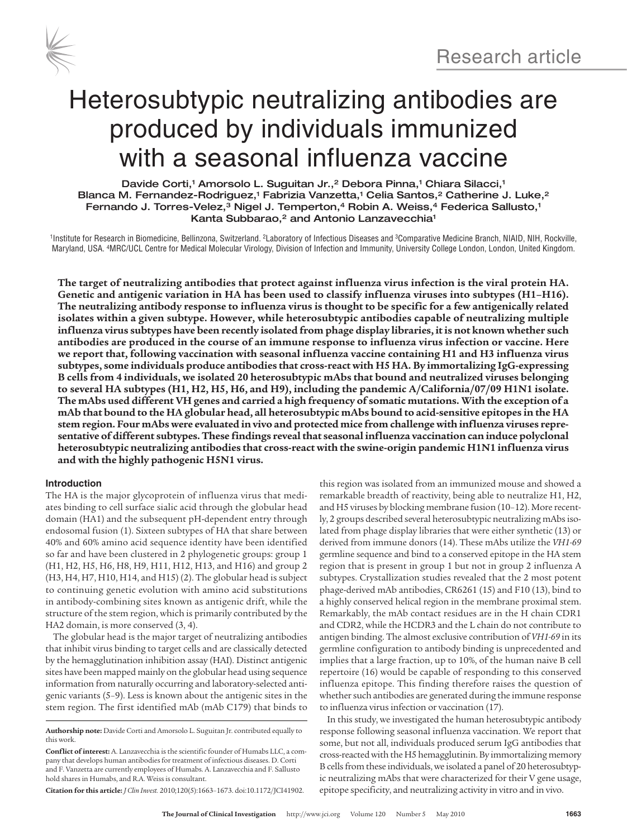



## Heterosubtypic neutralizing antibodies are produced by individuals immunized with a seasonal influenza vaccine

Davide Corti,1 Amorsolo L. Suguitan Jr.,<sup>2</sup> Debora Pinna,1 Chiara Silacci,1 Blanca M. Fernandez-Rodriguez,<sup>1</sup> Fabrizia Vanzetta,<sup>1</sup> Celia Santos,<sup>2</sup> Catherine J. Luke,<sup>2</sup> Fernando J. Torres-Velez, ${}^{3}$  Nigel J. Temperton, ${}^{4}$  Robin A. Weiss, ${}^{4}$  Federica Sallusto, ${}^{1}$ Kanta Subbarao,<sup>2</sup> and Antonio Lanzavecchia<sup>1</sup>

1 Institute for Research in Biomedicine, Bellinzona, Switzerland. <sup>2</sup>Laboratory of Infectious Diseases and <sup>3</sup>Comparative Medicine Branch, NIAID, NIH, Rockville, Maryland, USA. <sup>4</sup>MRC/UCL Centre for Medical Molecular Virology, Division of Infection and Immunity, University College London, London, United Kingdom.

**The target of neutralizing antibodies that protect against influenza virus infection is the viral protein HA. Genetic and antigenic variation in HA has been used to classify influenza viruses into subtypes (H1–H16). The neutralizing antibody response to influenza virus is thought to be specific for a few antigenically related isolates within a given subtype. However, while heterosubtypic antibodies capable of neutralizing multiple influenza virus subtypes have been recently isolated from phage display libraries, it is not known whether such antibodies are produced in the course of an immune response to influenza virus infection or vaccine. Here we report that, following vaccination with seasonal influenza vaccine containing H1 and H3 influenza virus subtypes, some individuals produce antibodies that cross-react with H5 HA. By immortalizing IgG-expressing B cells from 4 individuals, we isolated 20 heterosubtypic mAbs that bound and neutralized viruses belonging to several HA subtypes (H1, H2, H5, H6, and H9), including the pandemic A/California/07/09 H1N1 isolate. The mAbs used different VH genes and carried a high frequency of somatic mutations. With the exception of a mAb that bound to the HA globular head, all heterosubtypic mAbs bound to acid-sensitive epitopes in the HA stem region. Four mAbs were evaluated in vivo and protected mice from challenge with influenza viruses representative of different subtypes. These findings reveal that seasonal influenza vaccination can induce polyclonal heterosubtypic neutralizing antibodies that cross-react with the swine-origin pandemic H1N1 influenza virus and with the highly pathogenic H5N1 virus.**

#### **Introduction**

The HA is the major glycoprotein of influenza virus that mediates binding to cell surface sialic acid through the globular head domain (HA1) and the subsequent pH-dependent entry through endosomal fusion (1). Sixteen subtypes of HA that share between 40% and 60% amino acid sequence identity have been identified so far and have been clustered in 2 phylogenetic groups: group 1 (H1, H2, H5, H6, H8, H9, H11, H12, H13, and H16) and group 2 (H3, H4, H7, H10, H14, and H15) (2). The globular head is subject to continuing genetic evolution with amino acid substitutions in antibody-combining sites known as antigenic drift, while the structure of the stem region, which is primarily contributed by the HA2 domain, is more conserved (3, 4).

The globular head is the major target of neutralizing antibodies that inhibit virus binding to target cells and are classically detected by the hemagglutination inhibition assay (HAI). Distinct antigenic sites have been mapped mainly on the globular head using sequence information from naturally occurring and laboratory-selected antigenic variants (5–9). Less is known about the antigenic sites in the stem region. The first identified mAb (mAb C179) that binds to

**Citation for this article:** *J Clin Invest.* 2010;120(5):1663–1673. doi:10.1172/JCI41902.

this region was isolated from an immunized mouse and showed a remarkable breadth of reactivity, being able to neutralize H1, H2, and H5 viruses by blocking membrane fusion (10–12). More recently, 2 groups described several heterosubtypic neutralizing mAbs isolated from phage display libraries that were either synthetic (13) or derived from immune donors (14). These mAbs utilize the *VH1-69* germline sequence and bind to a conserved epitope in the HA stem region that is present in group 1 but not in group 2 influenza A subtypes. Crystallization studies revealed that the 2 most potent phage-derived mAb antibodies, CR6261 (15) and F10 (13), bind to a highly conserved helical region in the membrane proximal stem. Remarkably, the mAb contact residues are in the H chain CDR1 and CDR2, while the HCDR3 and the L chain do not contribute to antigen binding. The almost exclusive contribution of *VH1-69* in its germline configuration to antibody binding is unprecedented and implies that a large fraction, up to 10%, of the human naive B cell repertoire (16) would be capable of responding to this conserved influenza epitope. This finding therefore raises the question of whether such antibodies are generated during the immune response to influenza virus infection or vaccination (17).

In this study, we investigated the human heterosubtypic antibody response following seasonal influenza vaccination. We report that some, but not all, individuals produced serum IgG antibodies that cross-reacted with the H5 hemagglutinin. By immortalizing memory B cells from these individuals, we isolated a panel of 20 heterosubtypic neutralizing mAbs that were characterized for their V gene usage, epitope specificity, and neutralizing activity in vitro and in vivo.

**Authorship note:** Davide Corti and Amorsolo L. Suguitan Jr. contributed equally to this work.

**Conflict of interest:** A. Lanzavecchia is the scientific founder of Humabs LLC, a company that develops human antibodies for treatment of infectious diseases. D. Corti and F. Vanzetta are currently employees of Humabs. A. Lanzavecchia and F. Sallusto hold shares in Humabs, and R.A. Weiss is consultant.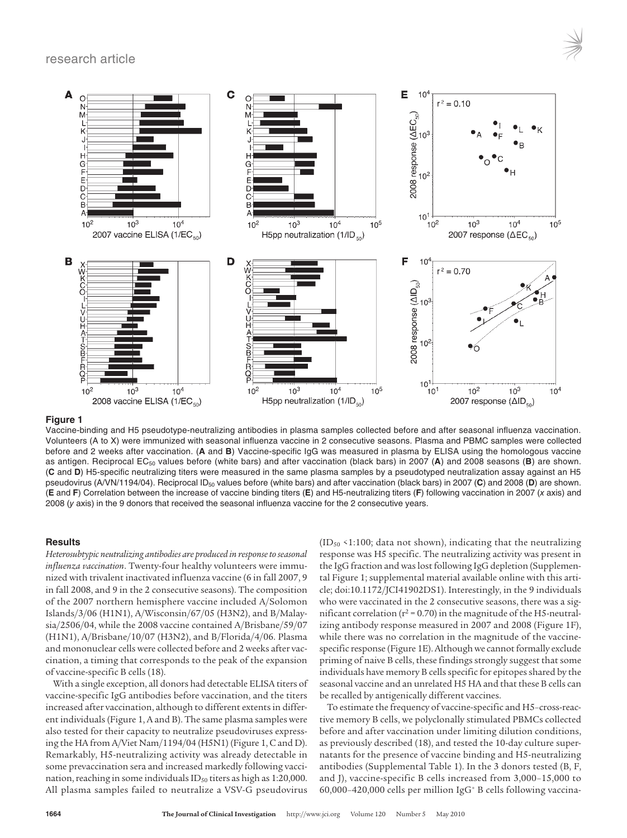#### research article



#### **Figure 1**

Vaccine-binding and H5 pseudotype-neutralizing antibodies in plasma samples collected before and after seasonal influenza vaccination. Volunteers (A to X) were immunized with seasonal influenza vaccine in 2 consecutive seasons. Plasma and PBMC samples were collected before and 2 weeks after vaccination. (**A** and **B**) Vaccine-specific IgG was measured in plasma by ELISA using the homologous vaccine as antigen. Reciprocal EC<sub>50</sub> values before (white bars) and after vaccination (black bars) in 2007 (A) and 2008 seasons (B) are shown. (**C** and **D**) H5-specific neutralizing titers were measured in the same plasma samples by a pseudotyped neutralization assay against an H5 pseudovirus (A/VN/1194/04). Reciprocal ID<sub>50</sub> values before (white bars) and after vaccination (black bars) in 2007 (C) and 2008 (D) are shown. (**E** and **F**) Correlation between the increase of vaccine binding titers (**E**) and H5-neutralizing titers (**F**) following vaccination in 2007 (x axis) and 2008 (y axis) in the 9 donors that received the seasonal influenza vaccine for the 2 consecutive years.

#### **Results**

*Heterosubtypic neutralizing antibodies are produced in response to seasonal influenza vaccination*. Twenty-four healthy volunteers were immunized with trivalent inactivated influenza vaccine (6 in fall 2007, 9 in fall 2008, and 9 in the 2 consecutive seasons). The composition of the 2007 northern hemisphere vaccine included A/Solomon Islands/3/06 (H1N1), A/Wisconsin/67/05 (H3N2), and B/Malaysia/2506/04, while the 2008 vaccine contained A/Brisbane/59/07 (H1N1), A/Brisbane/10/07 (H3N2), and B/Florida/4/06. Plasma and mononuclear cells were collected before and 2 weeks after vaccination, a timing that corresponds to the peak of the expansion of vaccine-specific B cells (18).

With a single exception, all donors had detectable ELISA titers of vaccine-specific IgG antibodies before vaccination, and the titers increased after vaccination, although to different extents in different individuals (Figure 1, A and B). The same plasma samples were also tested for their capacity to neutralize pseudoviruses expressing the HA from A/Viet Nam/1194/04 (H5N1) (Figure 1, C and D). Remarkably, H5-neutralizing activity was already detectable in some prevaccination sera and increased markedly following vaccination, reaching in some individuals  $ID_{50}$  titers as high as 1:20,000. All plasma samples failed to neutralize a VSV-G pseudovirus

 $(ID<sub>50</sub> < 1:100; data not shown), indicating that the neutralizing$ response was H5 specific. The neutralizing activity was present in the IgG fraction and was lost following IgG depletion (Supplemental Figure 1; supplemental material available online with this article; doi:10.1172/JCI41902DS1). Interestingly, in the 9 individuals who were vaccinated in the 2 consecutive seasons, there was a significant correlation (r<sup>2</sup> = 0.70) in the magnitude of the H5-neutralizing antibody response measured in 2007 and 2008 (Figure 1F), while there was no correlation in the magnitude of the vaccinespecific response (Figure 1E). Although we cannot formally exclude priming of naive B cells, these findings strongly suggest that some individuals have memory B cells specific for epitopes shared by the seasonal vaccine and an unrelated H5 HA and that these B cells can be recalled by antigenically different vaccines.

To estimate the frequency of vaccine-specific and H5–cross-reactive memory B cells, we polyclonally stimulated PBMCs collected before and after vaccination under limiting dilution conditions, as previously described (18), and tested the 10-day culture supernatants for the presence of vaccine binding and H5-neutralizing antibodies (Supplemental Table 1). In the 3 donors tested (B, F, and J), vaccine-specific B cells increased from 3,000–15,000 to 60,000–420,000 cells per million IgG<sup>+</sup> B cells following vaccina-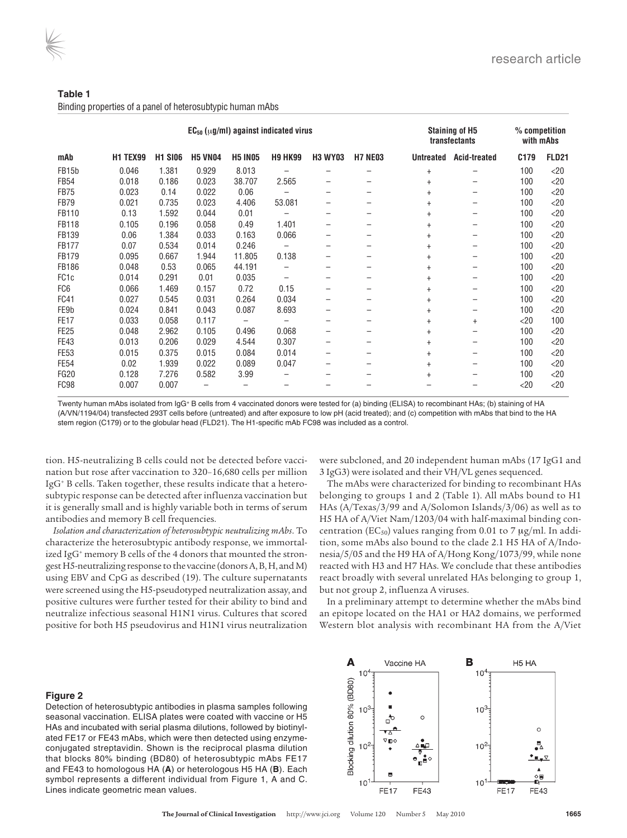| Table 1                                                    |  |
|------------------------------------------------------------|--|
| Binding properties of a panel of heterosubtypic human mAbs |  |

| $EC_{50}$ ( $\mu$ g/ml) against indicated virus |                 |                |                |                |                          |                          |                          | <b>Staining of H5</b><br>transfectants | % competition<br>with mAbs |        |              |
|-------------------------------------------------|-----------------|----------------|----------------|----------------|--------------------------|--------------------------|--------------------------|----------------------------------------|----------------------------|--------|--------------|
| mAb                                             | <b>H1 TEX99</b> | <b>H1 SI06</b> | <b>H5 VN04</b> | <b>H5 IN05</b> | <b>H9 HK99</b>           | <b>H3 WY03</b>           | <b>H7 NE03</b>           | <b>Untreated</b>                       | <b>Acid-treated</b>        | C179   | <b>FLD21</b> |
| FB15b                                           | 0.046           | 1.381          | 0.929          | 8.013          |                          |                          |                          | $\ddot{}$                              | —                          | 100    | $<$ 20       |
| <b>FB54</b>                                     | 0.018           | 0.186          | 0.023          | 38.707         | 2.565                    |                          | —                        | $^{+}$                                 | —                          | 100    | $<$ 20       |
| <b>FB75</b>                                     | 0.023           | 0.14           | 0.022          | 0.06           |                          |                          | -                        | $+$                                    | -                          | 100    | $<$ 20       |
| <b>FB79</b>                                     | 0.021           | 0.735          | 0.023          | 4.406          | 53.081                   |                          | —                        | $^{+}$                                 | —                          | 100    | $<$ 20       |
| FB110                                           | 0.13            | 1.592          | 0.044          | 0.01           |                          |                          |                          | $^{+}$                                 | —                          | 100    | $<$ 20       |
| <b>FB118</b>                                    | 0.105           | 0.196          | 0.058          | 0.49           | 1.401                    |                          | —                        | $^{+}$                                 | —                          | 100    | $<$ 20       |
| FB139                                           | 0.06            | 1.384          | 0.033          | 0.163          | 0.066                    |                          |                          | $^{+}$                                 | —                          | 100    | $<$ 20       |
| <b>FB177</b>                                    | 0.07            | 0.534          | 0.014          | 0.246          | $\overline{\phantom{0}}$ | $\qquad \qquad$          | $\qquad \qquad -$        | $^{+}$                                 | —                          | 100    | $<$ 20       |
| <b>FB179</b>                                    | 0.095           | 0.667          | 1.944          | 11.805         | 0.138                    |                          |                          | $+$                                    | —                          | 100    | $<$ 20       |
| <b>FB186</b>                                    | 0.048           | 0.53           | 0.065          | 44.191         | $\overline{\phantom{0}}$ | -                        | $\overline{\phantom{m}}$ | $^{+}$                                 | —                          | 100    | $<$ 20       |
| FC <sub>1</sub> c                               | 0.014           | 0.291          | 0.01           | 0.035          | —                        | $\overline{\phantom{0}}$ |                          | $^{+}$                                 | —                          | 100    | $<$ 20       |
| FC <sub>6</sub>                                 | 0.066           | 1.469          | 0.157          | 0.72           | 0.15                     |                          |                          | $^{+}$                                 | —                          | 100    | $<$ 20       |
| <b>FC41</b>                                     | 0.027           | 0.545          | 0.031          | 0.264          | 0.034                    |                          |                          | $^{+}$                                 | —                          | 100    | $<$ 20       |
| FE9b                                            | 0.024           | 0.841          | 0.043          | 0.087          | 8.693                    |                          |                          | $^{+}$                                 | —                          | 100    | $<$ 20       |
| FE <sub>17</sub>                                | 0.033           | 0.058          | 0.117          |                | $\overline{\phantom{0}}$ |                          |                          | $^{+}$                                 | $^{+}$                     | $<$ 20 | 100          |
| <b>FE25</b>                                     | 0.048           | 2.962          | 0.105          | 0.496          | 0.068                    |                          | —                        | $+$                                    | —                          | 100    | $<$ 20       |
| <b>FE43</b>                                     | 0.013           | 0.206          | 0.029          | 4.544          | 0.307                    |                          |                          | $^{+}$                                 | —                          | 100    | $<$ 20       |
| <b>FE53</b>                                     | 0.015           | 0.375          | 0.015          | 0.084          | 0.014                    |                          |                          | $+$                                    | —                          | 100    | $<$ 20       |
| <b>FE54</b>                                     | 0.02            | 1.939          | 0.022          | 0.089          | 0.047                    |                          | $\qquad \qquad -$        | $+$                                    | —                          | 100    | $<$ 20       |
| <b>FG20</b>                                     | 0.128           | 7.276          | 0.582          | 3.99           |                          |                          |                          | $^{+}$                                 |                            | 100    | $<$ 20       |
| FC <sub>98</sub>                                | 0.007           | 0.007          |                |                |                          |                          |                          |                                        |                            | $<$ 20 | $<$ 20       |

Twenty human mAbs isolated from IgG+ B cells from 4 vaccinated donors were tested for (a) binding (ELISA) to recombinant HAs; (b) staining of HA (A/VN/1194/04) transfected 293T cells before (untreated) and after exposure to low pH (acid treated); and (c) competition with mAbs that bind to the HA stem region (C179) or to the globular head (FLD21). The H1-specific mAb FC98 was included as a control.

tion. H5-neutralizing B cells could not be detected before vaccination but rose after vaccination to 320–16,680 cells per million IgG<sup>+</sup> B cells. Taken together, these results indicate that a heterosubtypic response can be detected after influenza vaccination but it is generally small and is highly variable both in terms of serum antibodies and memory B cell frequencies.

*Isolation and characterization of heterosubtypic neutralizing mAbs*. To characterize the heterosubtypic antibody response, we immortalized IgG<sup>+</sup> memory B cells of the 4 donors that mounted the strongest H5-neutralizing response to the vaccine (donors A, B, H, and M) using EBV and CpG as described (19). The culture supernatants were screened using the H5-pseudotyped neutralization assay, and positive cultures were further tested for their ability to bind and neutralize infectious seasonal H1N1 virus. Cultures that scored positive for both H5 pseudovirus and H1N1 virus neutralization

were subcloned, and 20 independent human mAbs (17 IgG1 and 3 IgG3) were isolated and their VH/VL genes sequenced.

The mAbs were characterized for binding to recombinant HAs belonging to groups 1 and 2 (Table 1). All mAbs bound to H1 HAs (A/Texas/3/99 and A/Solomon Islands/3/06) as well as to H5 HA of A/Viet Nam/1203/04 with half-maximal binding concentration (EC<sub>50</sub>) values ranging from 0.01 to 7  $\mu$ g/ml. In addition, some mAbs also bound to the clade 2.1 H5 HA of A/Indonesia/5/05 and the H9 HA of A/Hong Kong/1073/99, while none reacted with H3 and H7 HAs. We conclude that these antibodies react broadly with several unrelated HAs belonging to group 1, but not group 2, influenza A viruses.

In a preliminary attempt to determine whether the mAbs bind an epitope located on the HA1 or HA2 domains, we performed Western blot analysis with recombinant HA from the A/Viet

#### **Figure 2**

Detection of heterosubtypic antibodies in plasma samples following seasonal vaccination. ELISA plates were coated with vaccine or H5 HAs and incubated with serial plasma dilutions, followed by biotinylated FE17 or FE43 mAbs, which were then detected using enzymeconjugated streptavidin. Shown is the reciprocal plasma dilution that blocks 80% binding (BD80) of heterosubtypic mAbs FE17 and FE43 to homologous HA (**A**) or heterologous H5 HA (**B**). Each symbol represents a different individual from Figure 1, A and C. Lines indicate geometric mean values.

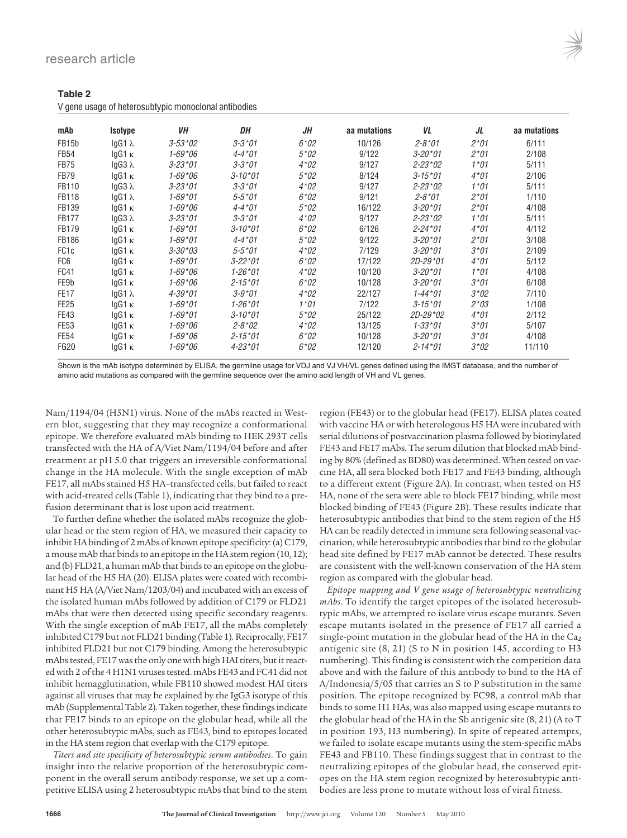**Table 2**

| Taple 2 |  |  |                                                      |
|---------|--|--|------------------------------------------------------|
|         |  |  | V gene usage of heterosubtypic monoclonal antibodies |

| mAb                | Isotype        | VН            | DH                | JΗ     | aa mutations | VL                 | JL     | aa mutations |
|--------------------|----------------|---------------|-------------------|--------|--------------|--------------------|--------|--------------|
| FB <sub>15</sub> b | $lgG1 \lambda$ | $3 - 53 * 02$ | $3 - 3*01$        | $6*02$ | 10/126       | $2 - 8*01$         | $2*01$ | 6/111        |
| <b>FB54</b>        | $lgG1 \kappa$  | $1 - 69*06$   | $4 - 4*01$        | $5*02$ | 9/122        | $3 - 20*01$        | $2*01$ | 2/108        |
| <b>FB75</b>        | $lgG3 \lambda$ | $3 - 23*01$   | $3 - 3*01$        | $4*02$ | 9/127        | $2 - 23 * 02$      | $1*01$ | 5/111        |
| <b>FB79</b>        | $lgG1 \kappa$  | $1 - 69*06$   | $3 - 10^{*}01$    | $5*02$ | 8/124        | $3 - 15*01$        | $4*01$ | 2/106        |
| FB110              | $lgG3 \lambda$ | $3 - 23*01$   | $3 - 3*01$        | $4*02$ | 9/127        | $2 - 23 * 02$      | $1*01$ | 5/111        |
| <b>FB118</b>       | $lgG1 \lambda$ | $1 - 69*01$   | $5 - 5*01$        | $6*02$ | 9/121        | $2 - 8*01$         | $2*01$ | 1/110        |
| FB139              | $lgG1 \kappa$  | $1 - 69*06$   | $4 - 4*01$        | $5*02$ | 16/122       | $3 - 20*01$        | $2*01$ | 4/108        |
| <b>FB177</b>       | $lgG3 \lambda$ | $3 - 23*01$   | $3 - 3*01$        | $4*02$ | 9/127        | $2 - 23 * 02$      | $1*01$ | 5/111        |
| <b>FB179</b>       | $lgG1 \kappa$  | $1 - 69*01$   | $3 - 10*01$       | $6*02$ | 6/126        | $2 - 24*01$        | $4*01$ | 4/112        |
| <b>FB186</b>       | $lgG1 \kappa$  | $1 - 69*01$   | $4 - 4*01$        | $5*02$ | 9/122        | $3 - 20*01$        | $2*01$ | 3/108        |
| FC <sub>1</sub> c  | $lgG1 \kappa$  | $3 - 30*03$   | $5 - 5*01$        | $4*02$ | 7/129        | $3 - 20*01$        | $3*01$ | 2/109        |
| FC <sub>6</sub>    | $lgG1 \kappa$  | $1 - 69*01$   | $3 - 22 * 01$     | $6*02$ | 17/122       | $2D-29*01$         | $4*01$ | 5/112        |
| <b>FC41</b>        | $lgG1 \kappa$  | $1 - 69*06$   | $1 - 26*01$       | $4*02$ | 10/120       | $3 - 20*01$        | $1*01$ | 4/108        |
| FE9b               | $lgG1 \kappa$  | $1 - 69*06$   | $2 - 15*01$       | $6*02$ | 10/128       | $3 - 20*01$        | $3*01$ | 6/108        |
| <b>FE17</b>        | $lgG1 \lambda$ | $4 - 39*01$   | $3 - 9*01$        | $4*02$ | 22/127       | $1 - 44 \times 01$ | $3*02$ | 7/110        |
| <b>FE25</b>        | $lgG1 \kappa$  | $1 - 69*01$   | $1 - 26*01$       | $1*01$ | 7/122        | $3 - 15*01$        | $2*03$ | 1/108        |
| FE43               | $lgG1 \kappa$  | $1 - 69*01$   | $3 - 10*01$       | $5*02$ | 25/122       | $2D - 29*02$       | $4*01$ | 2/112        |
| <b>FE53</b>        | $lgG1 \kappa$  | $1 - 69*06$   | $2 - 8 \times 02$ | $4*02$ | 13/125       | $1 - 33 * 01$      | $3*01$ | 5/107        |
| <b>FE54</b>        | $lgG1 \kappa$  | $1 - 69*06$   | $2 - 15*01$       | $6*02$ | 10/128       | $3 - 20*01$        | $3*01$ | 4/108        |
| <b>FG20</b>        | $lgG1 \kappa$  | $1 - 69*06$   | $4 - 23 * 01$     | $6*02$ | 12/120       | $2 - 14*01$        | $3*02$ | 11/110       |

Shown is the mAb isotype determined by ELISA, the germline usage for VDJ and VJ VH/VL genes defined using the IMGT database, and the number of amino acid mutations as compared with the germline sequence over the amino acid length of VH and VL genes.

Nam/1194/04 (H5N1) virus. None of the mAbs reacted in Western blot, suggesting that they may recognize a conformational epitope. We therefore evaluated mAb binding to HEK 293T cells transfected with the HA of A/Viet Nam/1194/04 before and after treatment at pH 5.0 that triggers an irreversible conformational change in the HA molecule. With the single exception of mAb FE17, all mAbs stained H5 HA–transfected cells, but failed to react with acid-treated cells (Table 1), indicating that they bind to a prefusion determinant that is lost upon acid treatment.

To further define whether the isolated mAbs recognize the globular head or the stem region of HA, we measured their capacity to inhibit HA binding of 2 mAbs of known epitope specificity: (a) C179, a mouse mAb that binds to an epitope in the HA stem region (10, 12); and (b) FLD21, a human mAb that binds to an epitope on the globular head of the H5 HA (20). ELISA plates were coated with recombinant H5 HA (A/Viet Nam/1203/04) and incubated with an excess of the isolated human mAbs followed by addition of C179 or FLD21 mAbs that were then detected using specific secondary reagents. With the single exception of mAb FE17, all the mAbs completely inhibited C179 but not FLD21 binding (Table 1). Reciprocally, FE17 inhibited FLD21 but not C179 binding. Among the heterosubtypic mAbs tested, FE17 was the only one with high HAI titers, but it reacted with 2 of the 4 H1N1 viruses tested. mAbs FE43 and FC41 did not inhibit hemagglutination, while FB110 showed modest HAI titers against all viruses that may be explained by the IgG3 isotype of this mAb (Supplemental Table 2). Taken together, these findings indicate that FE17 binds to an epitope on the globular head, while all the other heterosubtypic mAbs, such as FE43, bind to epitopes located in the HA stem region that overlap with the C179 epitope.

*Titers and site specificity of heterosubtypic serum antibodies*. To gain insight into the relative proportion of the heterosubtypic component in the overall serum antibody response, we set up a competitive ELISA using 2 heterosubtypic mAbs that bind to the stem

region (FE43) or to the globular head (FE17). ELISA plates coated with vaccine HA or with heterologous H5 HA were incubated with serial dilutions of postvaccination plasma followed by biotinylated FE43 and FE17 mAbs. The serum dilution that blocked mAb binding by 80% (defined as BD80) was determined. When tested on vaccine HA, all sera blocked both FE17 and FE43 binding, although to a different extent (Figure 2A). In contrast, when tested on H5 HA, none of the sera were able to block FE17 binding, while most blocked binding of FE43 (Figure 2B). These results indicate that heterosubtypic antibodies that bind to the stem region of the H5 HA can be readily detected in immune sera following seasonal vaccination, while heterosubtypic antibodies that bind to the globular head site defined by FE17 mAb cannot be detected. These results are consistent with the well-known conservation of the HA stem region as compared with the globular head.

*Epitope mapping and V gene usage of heterosubtypic neutralizing mAbs*. To identify the target epitopes of the isolated heterosubtypic mAbs, we attempted to isolate virus escape mutants. Seven escape mutants isolated in the presence of FE17 all carried a single-point mutation in the globular head of the HA in the  $Ca<sub>2</sub>$ antigenic site (8, 21) (S to N in position 145, according to H3 numbering). This finding is consistent with the competition data above and with the failure of this antibody to bind to the HA of A/Indonesia/5/05 that carries an S to P substitution in the same position. The epitope recognized by FC98, a control mAb that binds to some H1 HAs, was also mapped using escape mutants to the globular head of the HA in the Sb antigenic site (8, 21) (A to T in position 193, H3 numbering). In spite of repeated attempts, we failed to isolate escape mutants using the stem-specific mAbs FE43 and FB110. These findings suggest that in contrast to the neutralizing epitopes of the globular head, the conserved epitopes on the HA stem region recognized by heterosubtypic antibodies are less prone to mutate without loss of viral fitness.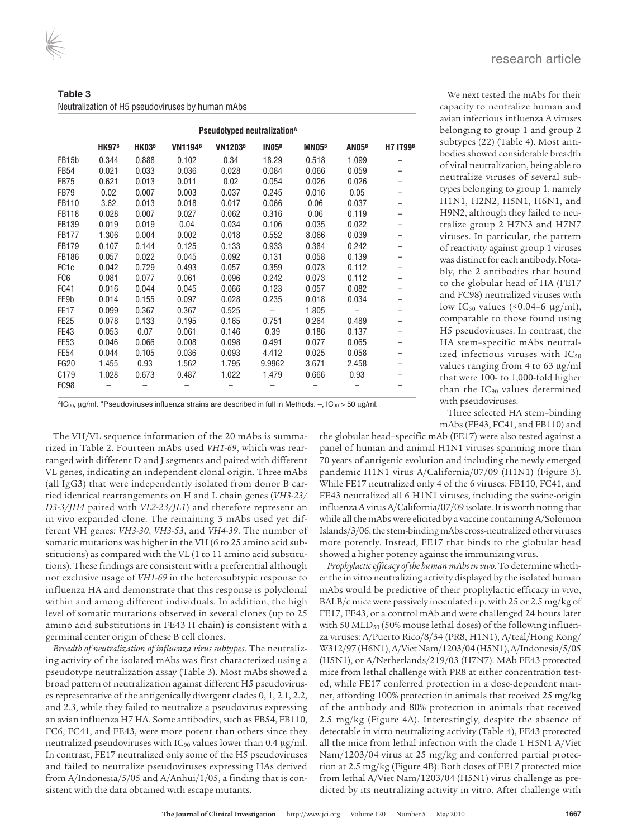**Table 3** Neutralization of H5 pseudoviruses by human mAbs

|                    |              |              |                | Pseudotyped neutralization <sup>A</sup> |              |                   |                   |                 |
|--------------------|--------------|--------------|----------------|-----------------------------------------|--------------|-------------------|-------------------|-----------------|
|                    | <b>HK97B</b> | <b>HK03B</b> | <b>VN1194B</b> | <b>VN1203B</b>                          | <b>IN05B</b> | MN05 <sup>B</sup> | AN05 <sup>B</sup> | <b>H7 IT99B</b> |
| FB <sub>15</sub> b | 0.344        | 0.888        | 0.102          | 0.34                                    | 18.29        | 0.518             | 1.099             |                 |
| <b>FB54</b>        | 0.021        | 0.033        | 0.036          | 0.028                                   | 0.084        | 0.066             | 0.059             |                 |
| <b>FB75</b>        | 0.621        | 0.013        | 0.011          | 0.02                                    | 0.054        | 0.026             | 0.026             |                 |
| FB79               | 0.02         | 0.007        | 0.003          | 0.037                                   | 0.245        | 0.016             | 0.05              |                 |
| FB110              | 3.62         | 0.013        | 0.018          | 0.017                                   | 0.066        | 0.06              | 0.037             |                 |
| <b>FB118</b>       | 0.028        | 0.007        | 0.027          | 0.062                                   | 0.316        | 0.06              | 0.119             |                 |
| FB139              | 0.019        | 0.019        | 0.04           | 0.034                                   | 0.106        | 0.035             | 0.022             |                 |
| <b>FB177</b>       | 1.306        | 0.004        | 0.002          | 0.018                                   | 0.552        | 8.066             | 0.039             |                 |
| <b>FB179</b>       | 0.107        | 0.144        | 0.125          | 0.133                                   | 0.933        | 0.384             | 0.242             |                 |
| <b>FB186</b>       | 0.057        | 0.022        | 0.045          | 0.092                                   | 0.131        | 0.058             | 0.139             |                 |
| FC <sub>1c</sub>   | 0.042        | 0.729        | 0.493          | 0.057                                   | 0.359        | 0.073             | 0.112             |                 |
| FC <sub>6</sub>    | 0.081        | 0.077        | 0.061          | 0.096                                   | 0.242        | 0.073             | 0.112             |                 |
| FC41               | 0.016        | 0.044        | 0.045          | 0.066                                   | 0.123        | 0.057             | 0.082             |                 |
| FE9b               | 0.014        | 0.155        | 0.097          | 0.028                                   | 0.235        | 0.018             | 0.034             |                 |
| <b>FE17</b>        | 0.099        | 0.367        | 0.367          | 0.525                                   |              | 1.805             |                   |                 |
| <b>FE25</b>        | 0.078        | 0.133        | 0.195          | 0.165                                   | 0.751        | 0.264             | 0.489             |                 |
| <b>FE43</b>        | 0.053        | 0.07         | 0.061          | 0.146                                   | 0.39         | 0.186             | 0.137             |                 |
| <b>FE53</b>        | 0.046        | 0.066        | 0.008          | 0.098                                   | 0.491        | 0.077             | 0.065             |                 |
| <b>FE54</b>        | 0.044        | 0.105        | 0.036          | 0.093                                   | 4.412        | 0.025             | 0.058             |                 |
| <b>FG20</b>        | 1.455        | 0.93         | 1.562          | 1.795                                   | 9.9962       | 3.671             | 2.458             |                 |
| C <sub>179</sub>   | 1.028        | 0.673        | 0.487          | 1.022                                   | 1.479        | 0.666             | 0.93              |                 |
| FC98               |              |              |                |                                         |              |                   |                   |                 |

We next tested the mAbs for their capacity to neutralize human and avian infectious influenza A viruses belonging to group 1 and group 2 subtypes (22) (Table 4). Most antibodies showed considerable breadth of viral neutralization, being able to neutralize viruses of several subtypes belonging to group 1, namely H1N1, H2N2, H5N1, H6N1, and H9N2, although they failed to neutralize group 2 H7N3 and H7N7 viruses. In particular, the pattern of reactivity against group 1 viruses was distinct for each antibody. Notably, the 2 antibodies that bound to the globular head of HA (FE17 and FC98) neutralized viruses with low IC<sub>50</sub> values (< $0.04-6 \mu g/ml$ ), comparable to those found using H5 pseudoviruses. In contrast, the HA stem–specific mAbs neutralized infectious viruses with  $IC_{50}$ values ranging from 4 to 63 μg/ml that were 100- to 1,000-fold higher than the IC<sub>90</sub> values determined with pseudoviruses.

AIC<sub>90</sub>, μg/ml. BPseudoviruses influenza strains are described in full in Methods. –, IC<sub>90</sub> > 50 μg/ml.

The VH/VL sequence information of the 20 mAbs is summarized in Table 2. Fourteen mAbs used *VH1-69*, which was rearranged with different D and J segments and paired with different VL genes, indicating an independent clonal origin. Three mAbs (all IgG3) that were independently isolated from donor B carried identical rearrangements on H and L chain genes (*VH3-23/ D3-3/JH4* paired with *VL2-23/JL1*) and therefore represent an in vivo expanded clone. The remaining 3 mAbs used yet different VH genes: *VH3-30*, *VH3-53*, and *VH4-39*. The number of somatic mutations was higher in the VH (6 to 25 amino acid substitutions) as compared with the VL (1 to 11 amino acid substitutions). These findings are consistent with a preferential although not exclusive usage of *VH1-69* in the heterosubtypic response to influenza HA and demonstrate that this response is polyclonal within and among different individuals. In addition, the high level of somatic mutations observed in several clones (up to 25 amino acid substitutions in FE43 H chain) is consistent with a germinal center origin of these B cell clones.

*Breadth of neutralization of influenza virus subtypes*. The neutralizing activity of the isolated mAbs was first characterized using a pseudotype neutralization assay (Table 3). Most mAbs showed a broad pattern of neutralization against different H5 pseudoviruses representative of the antigenically divergent clades 0, 1, 2.1, 2.2, and 2.3, while they failed to neutralize a pseudovirus expressing an avian influenza H7 HA. Some antibodies, such as FB54, FB110, FC6, FC41, and FE43, were more potent than others since they neutralized pseudoviruses with IC90 values lower than 0.4 μg/ml. In contrast, FE17 neutralized only some of the H5 pseudoviruses and failed to neutralize pseudoviruses expressing HAs derived from A/Indonesia/5/05 and A/Anhui/1/05, a finding that is consistent with the data obtained with escape mutants.

Three selected HA stem–binding

mAbs (FE43, FC41, and FB110) and

the globular head–specific mAb (FE17) were also tested against a panel of human and animal H1N1 viruses spanning more than 70 years of antigenic evolution and including the newly emerged pandemic H1N1 virus A/California/07/09 (H1N1) (Figure 3). While FE17 neutralized only 4 of the 6 viruses, FB110, FC41, and FE43 neutralized all 6 H1N1 viruses, including the swine-origin influenza A virus A/California/07/09 isolate. It is worth noting that while all the mAbs were elicited by a vaccine containing A/Solomon Islands/3/06, the stem-binding mAbs cross-neutralized other viruses more potently. Instead, FE17 that binds to the globular head showed a higher potency against the immunizing virus.

*Prophylactic efficacy of the human mAbs in vivo*. To determine whether the in vitro neutralizing activity displayed by the isolated human mAbs would be predictive of their prophylactic efficacy in vivo, BALB/c mice were passively inoculated i.p. with 25 or 2.5 mg/kg of FE17, FE43, or a control mAb and were challenged 24 hours later with 50  $MLD<sub>50</sub>$  (50% mouse lethal doses) of the following influenza viruses: A/Puerto Rico/8/34 (PR8, H1N1), A/teal/Hong Kong/ W312/97 (H6N1), A/Viet Nam/1203/04 (H5N1), A/Indonesia/5/05 (H5N1), or A/Netherlands/219/03 (H7N7). MAb FE43 protected mice from lethal challenge with PR8 at either concentration tested, while FE17 conferred protection in a dose-dependent manner, affording 100% protection in animals that received 25 mg/kg of the antibody and 80% protection in animals that received 2.5 mg/kg (Figure 4A). Interestingly, despite the absence of detectable in vitro neutralizing activity (Table 4), FE43 protected all the mice from lethal infection with the clade 1 H5N1 A/Viet Nam/1203/04 virus at 25 mg/kg and conferred partial protection at 2.5 mg/kg (Figure 4B). Both doses of FE17 protected mice from lethal A/Viet Nam/1203/04 (H5N1) virus challenge as predicted by its neutralizing activity in vitro. After challenge with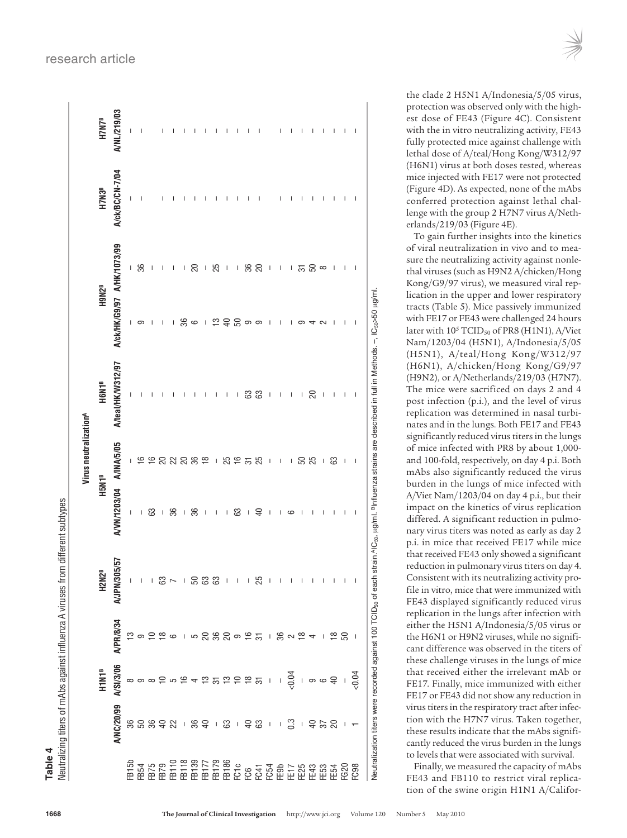Veutralizing titers of mAbs against influenza A viruses from different subtypes Table 4

|                   |                   |                          |                                                                                                                                                                                                                                                                                                                                                                                  |                                       | Virus neutralization <sup>A</sup> |                          |                                                                                 |                                |                   |                          |
|-------------------|-------------------|--------------------------|----------------------------------------------------------------------------------------------------------------------------------------------------------------------------------------------------------------------------------------------------------------------------------------------------------------------------------------------------------------------------------|---------------------------------------|-----------------------------------|--------------------------|---------------------------------------------------------------------------------|--------------------------------|-------------------|--------------------------|
|                   | H1N1 <sup>B</sup> |                          | <b>H2N2<sup>B</sup></b>                                                                                                                                                                                                                                                                                                                                                          | H5N1 <sup>B</sup>                     |                                   | H6N1 <sup>B</sup>        | <b>H9N2<sup>B</sup></b>                                                         |                                | H7N3 <sup>B</sup> | H7N7 <sup>B</sup>        |
| <b>A/NC/20/99</b> | A/SI/3/06         | A/PR/8/34                | N/305/57<br><b>AVJP</b>                                                                                                                                                                                                                                                                                                                                                          | A/VN/1203/04 A/INA/5/05               |                                   | A/teal/HK/W312/97        | A/ck/HK/G9/97 A/HK/1073/99                                                      |                                | A/ck/BC/CN-7/04   | A/NL/219/03              |
|                   |                   |                          |                                                                                                                                                                                                                                                                                                                                                                                  | $\begin{array}{c} \hline \end{array}$ |                                   |                          |                                                                                 |                                |                   |                          |
|                   |                   |                          | I                                                                                                                                                                                                                                                                                                                                                                                | L                                     |                                   |                          | ၊ ဓာ                                                                            | 36                             |                   | I                        |
|                   |                   |                          |                                                                                                                                                                                                                                                                                                                                                                                  | 63                                    |                                   |                          | - 1                                                                             | $\begin{array}{c} \end{array}$ |                   |                          |
|                   |                   |                          | 889129                                                                                                                                                                                                                                                                                                                                                                           |                                       |                                   |                          | I                                                                               | L                              |                   |                          |
|                   |                   |                          |                                                                                                                                                                                                                                                                                                                                                                                  | 180                                   |                                   |                          |                                                                                 | $\mathbf{I}$                   |                   |                          |
|                   |                   |                          |                                                                                                                                                                                                                                                                                                                                                                                  |                                       |                                   |                          | ၊ ဇ္ကိ ဖ                                                                        | $\mathsf{L}$                   |                   |                          |
|                   |                   |                          |                                                                                                                                                                                                                                                                                                                                                                                  | 36                                    |                                   |                          |                                                                                 | 20                             |                   |                          |
|                   |                   |                          |                                                                                                                                                                                                                                                                                                                                                                                  | $\perp$                               |                                   |                          | $\mathbf{I}$                                                                    |                                |                   |                          |
|                   |                   |                          |                                                                                                                                                                                                                                                                                                                                                                                  | $\bar{\rm I}$                         | P P 2 2 2 3 2 3 2 5 1             | $\sf I$                  | $\frac{10}{10}$ $\frac{10}{10}$ $\frac{10}{10}$ $\frac{10}{10}$ $\frac{10}{10}$ | $+50$                          |                   |                          |
|                   |                   |                          | $\mathbf{I}$                                                                                                                                                                                                                                                                                                                                                                     | $\pm$                                 |                                   | $\mathsf I$              |                                                                                 |                                |                   |                          |
|                   |                   |                          | $\begin{array}{c} \rule{0pt}{2.5ex} \rule{0pt}{2.5ex} \rule{0pt}{2.5ex} \rule{0pt}{2.5ex} \rule{0pt}{2.5ex} \rule{0pt}{2.5ex} \rule{0pt}{2.5ex} \rule{0pt}{2.5ex} \rule{0pt}{2.5ex} \rule{0pt}{2.5ex} \rule{0pt}{2.5ex} \rule{0pt}{2.5ex} \rule{0pt}{2.5ex} \rule{0pt}{2.5ex} \rule{0pt}{2.5ex} \rule{0pt}{2.5ex} \rule{0pt}{2.5ex} \rule{0pt}{2.5ex} \rule{0pt}{2.5ex} \rule{0$ | 63                                    |                                   |                          |                                                                                 |                                |                   |                          |
|                   |                   |                          | L                                                                                                                                                                                                                                                                                                                                                                                | $\perp$                               |                                   |                          |                                                                                 |                                |                   |                          |
|                   |                   |                          | 25                                                                                                                                                                                                                                                                                                                                                                               | $\overline{40}$                       | <b>25525</b>                      | <b>រ</b> ន ន             |                                                                                 |                                |                   |                          |
| $\bar{\rm I}$     |                   |                          | I                                                                                                                                                                                                                                                                                                                                                                                | $\overline{\phantom{a}}$              | $\mathsf I$                       | $\perp$                  | $\overline{1}$                                                                  | $\mathsf I$                    |                   |                          |
| $\mathsf I$       |                   |                          |                                                                                                                                                                                                                                                                                                                                                                                  | I                                     | $\sf I$                           | $\overline{\phantom{a}}$ |                                                                                 | $\sim 1$                       | I                 | $\overline{\phantom{a}}$ |
| 0.3               |                   |                          |                                                                                                                                                                                                                                                                                                                                                                                  | 9                                     | $\mathbb{F}^2$                    | $\mathsf I$              |                                                                                 |                                | I                 | t                        |
|                   |                   |                          |                                                                                                                                                                                                                                                                                                                                                                                  |                                       |                                   |                          | ၜ                                                                               |                                |                   | T                        |
| $-9.58$           |                   |                          |                                                                                                                                                                                                                                                                                                                                                                                  | I                                     | 50<br>25                          | । ର                      |                                                                                 | 32 ක<br>  20 ක                 |                   | I                        |
|                   |                   |                          |                                                                                                                                                                                                                                                                                                                                                                                  |                                       | $\bar{1}$                         | $\overline{\phantom{a}}$ | 4 U                                                                             |                                |                   |                          |
|                   |                   |                          |                                                                                                                                                                                                                                                                                                                                                                                  |                                       | 63                                | I                        |                                                                                 | I                              |                   |                          |
|                   |                   |                          |                                                                                                                                                                                                                                                                                                                                                                                  |                                       | $\overline{\phantom{a}}$          | I                        |                                                                                 |                                |                   |                          |
|                   |                   | $\overline{\phantom{a}}$ |                                                                                                                                                                                                                                                                                                                                                                                  |                                       | I                                 | I                        |                                                                                 |                                |                   |                          |

Neutralization titers were recorded against 100 TCID<sub>50</sub> of each strain. AIC<sub>50</sub>, μg/ml. BInfluenza strains are described in full in Methods. –, IC50>50 μg/ml. the clade 2 H5N1 A/Indonesia/5/05 virus, protection was observed only with the highest dose of FE43 (Figure 4C). Consistent with the in vitro neutralizing activity, FE43 fully protected mice against challenge with lethal dose of A/teal/Hong Kong/W312/97 (H6N1) virus at both doses tested, whereas mice injected with FE17 were not protected (Figure 4D). As expected, none of the mAbs conferred protection against lethal challenge with the group 2 H7N7 virus A/Netherlands/219/03 (Figure 4E).

To gain further insights into the kinetics of viral neutralization in vivo and to measure the neutralizing activity against nonlethal viruses (such as H9N2 A/chicken/Hong Kong/G9/97 virus), we measured viral replication in the upper and lower respiratory tracts (Table 5). Mice passively immunized with FE17 or FE43 were challenged 24 hours later with  $10^5$  TCID<sub>50</sub> of PR8 (H1N1), A/Viet Nam/1203/04 (H5N1), A/Indonesia/5/05 (H5N1), A/teal/Hong Kong/W312/97 (H6N1), A/chicken/Hong Kong/G9/97 (H9N2), or A/Netherlands/219/03 (H7N7). The mice were sacrificed on days 2 and 4 post infection (p.i.), and the level of virus replication was determined in nasal turbinates and in the lungs. Both FE17 and FE43 significantly reduced virus titers in the lungs of mice infected with PR8 by about 1,000 and 100-fold, respectively, on day 4 p.i. Both mAbs also significantly reduced the virus burden in the lungs of mice infected with A/Viet Nam/1203/04 on day 4 p.i., but their impact on the kinetics of virus replication differed. A significant reduction in pulmonary virus titers was noted as early as day 2 p.i. in mice that received FE17 while mice that received FE43 only showed a significant reduction in pulmonary virus titers on day 4. Consistent with its neutralizing activity profile in vitro, mice that were immunized with FE43 displayed significantly reduced virus replication in the lungs after infection with either the H5N1 A/Indonesia/5/05 virus or the H6N1 or H9N2 viruses, while no significant difference was observed in the titers of these challenge viruses in the lungs of mice that received either the irrelevant mAb or FE17. Finally, mice immunized with either FE17 or FE43 did not show any reduction in virus titers in the respiratory tract after infection with the H7N7 virus. Taken together, these results indicate that the mAbs significantly reduced the virus burden in the lungs to levels that were associated with survival.

Finally, we measured the capacity of mAbs FE43 and FB110 to restrict viral replication of the swine origin H1N1 A/Califor-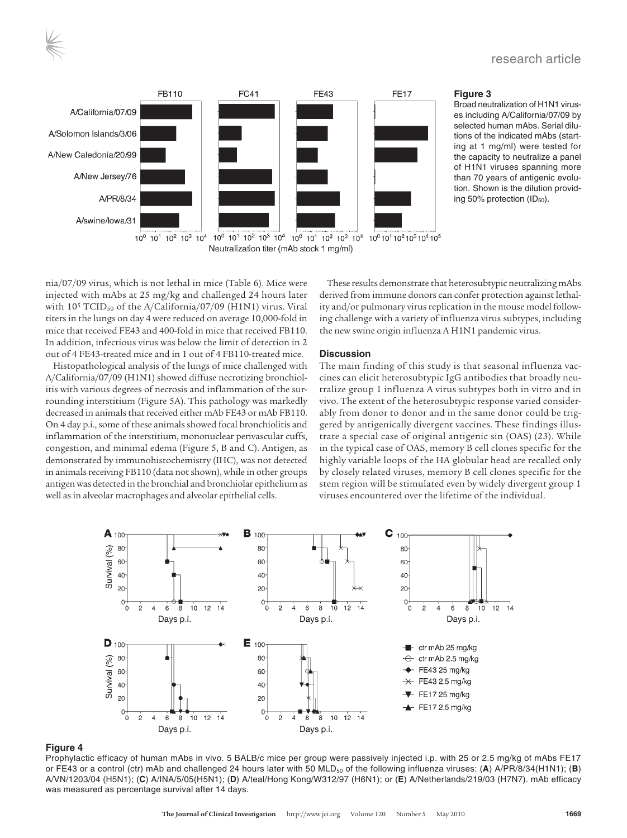

#### **Figure 3**

Broad neutralization of H1N1 viruses including A/California/07/09 by selected human mAbs. Serial dilutions of the indicated mAbs (starting at 1 mg/ml) were tested for the capacity to neutralize a panel of H1N1 viruses spanning more than 70 years of antigenic evolution. Shown is the dilution providing 50% protection  $(ID_{50}).$ 

nia/07/09 virus, which is not lethal in mice (Table 6). Mice were injected with mAbs at 25 mg/kg and challenged 24 hours later with  $10^5$  TCID<sub>50</sub> of the A/California/07/09 (H1N1) virus. Viral titers in the lungs on day 4 were reduced on average 10,000-fold in mice that received FE43 and 400-fold in mice that received FB110. In addition, infectious virus was below the limit of detection in 2 out of 4 FE43-treated mice and in 1 out of 4 FB110-treated mice.

Histopathological analysis of the lungs of mice challenged with A/California/07/09 (H1N1) showed diffuse necrotizing bronchiolitis with various degrees of necrosis and inflammation of the surrounding interstitium (Figure 5A). This pathology was markedly decreased in animals that received either mAb FE43 or mAb FB110. On 4 day p.i., some of these animals showed focal bronchiolitis and inflammation of the interstitium, mononuclear perivascular cuffs, congestion, and minimal edema (Figure 5, B and C). Antigen, as demonstrated by immunohistochemistry (IHC), was not detected in animals receiving FB110 (data not shown), while in other groups antigen was detected in the bronchial and bronchiolar epithelium as well as in alveolar macrophages and alveolar epithelial cells.

These results demonstrate that heterosubtypic neutralizing mAbs derived from immune donors can confer protection against lethality and/or pulmonary virus replication in the mouse model following challenge with a variety of influenza virus subtypes, including the new swine origin influenza A H1N1 pandemic virus.

#### **Discussion**

The main finding of this study is that seasonal influenza vaccines can elicit heterosubtypic IgG antibodies that broadly neutralize group 1 influenza A virus subtypes both in vitro and in vivo. The extent of the heterosubtypic response varied considerably from donor to donor and in the same donor could be triggered by antigenically divergent vaccines. These findings illustrate a special case of original antigenic sin (OAS) (23). While in the typical case of OAS, memory B cell clones specific for the highly variable loops of the HA globular head are recalled only by closely related viruses, memory B cell clones specific for the stem region will be stimulated even by widely divergent group 1 viruses encountered over the lifetime of the individual.



#### **Figure 4**

Prophylactic efficacy of human mAbs in vivo. 5 BALB/c mice per group were passively injected i.p. with 25 or 2.5 mg/kg of mAbs FE17 or FE43 or a control (ctr) mAb and challenged 24 hours later with 50 MLD<sub>50</sub> of the following influenza viruses: (A) A/PR/8/34(H1N1); (B) A/VN/1203/04 (H5N1); (**C**) A/INA/5/05(H5N1); (**D**) A/teal/Hong Kong/W312/97 (H6N1); or (**E**) A/Netherlands/219/03 (H7N7). mAb efficacy was measured as percentage survival after 14 days.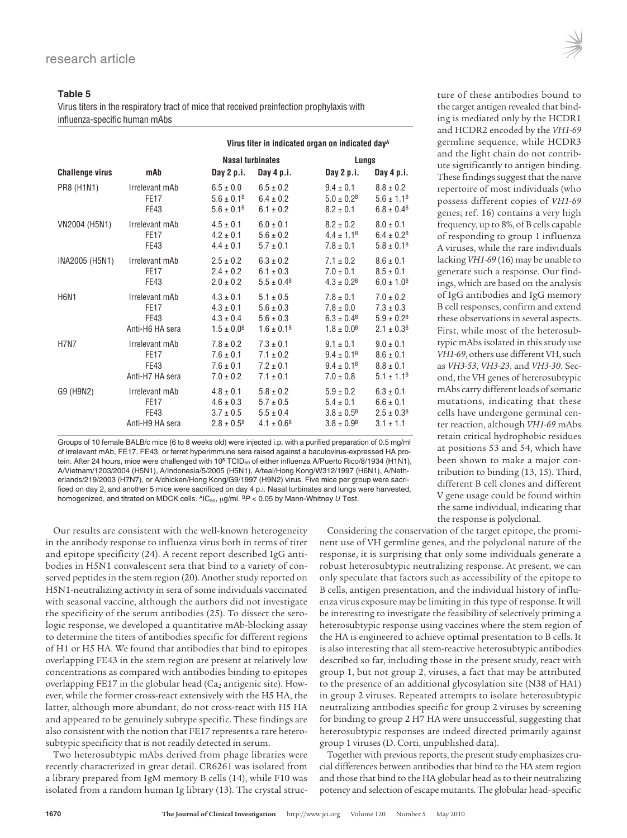#### **Table 5**

Virus titers in the respiratory tract of mice that received preinfection prophylaxis with influenza-specific human mAbs

|                        |                 | Virus titer in indicated organ on indicated day <sup>A</sup> |                       |                            |                            |  |
|------------------------|-----------------|--------------------------------------------------------------|-----------------------|----------------------------|----------------------------|--|
|                        |                 | <b>Nasal turbinates</b>                                      |                       | Lungs                      |                            |  |
| <b>Challenge virus</b> | mAb             | Day 2 p.i.                                                   | Day 4 p.i.            | Day 2 p.i.                 | Day 4 p.i.                 |  |
| PR8 (H1N1)             | Irrelevant mAb  | $6.5 \pm 0.0$                                                | $6.5 \pm 0.2$         | $9.4 \pm 0.1$              | $8.8 \pm 0.2$              |  |
|                        | <b>FE17</b>     | $5.6 \pm 0.1^{\circ}$                                        | $6.4 \pm 0.2$         | $5.0 \pm 0.2^{\rm B}$      | $5.6 \pm 1.1^B$            |  |
|                        | <b>FE43</b>     | $5.6 \pm 0.1^B$                                              | $6.1 \pm 0.2$         | $8.2 \pm 0.1$              | $6.8 \pm 0.4$ <sup>B</sup> |  |
| VN2004 (H5N1)          | Irrelevant mAb  | $4.5 \pm 0.1$                                                | $6.0 \pm 0.1$         | $8.2 \pm 0.2$              | $8.0 \pm 0.1$              |  |
|                        | <b>FE17</b>     | $4.2 \pm 0.1$                                                | $5.6 \pm 0.2$         | $4.4 \pm 1.1^B$            | $6.4 \pm 0.2^B$            |  |
|                        | FE43            | $4.4 \pm 0.1$                                                | $5.7 \pm 0.1$         | $7.8 \pm 0.1$              | $5.8 \pm 0.1^{\circ}$      |  |
| INA2005 (H5N1)         | Irrelevant mAb  | $2.5 \pm 0.2$                                                | $6.3 \pm 0.2$         | $7.1 \pm 0.2$              | $8.6 \pm 0.1$              |  |
|                        | <b>FE17</b>     | $2.4 \pm 0.2$                                                | $6.1 \pm 0.3$         | $7.0 \pm 0.1$              | $8.5 \pm 0.1$              |  |
|                        | <b>FE43</b>     | $2.0 \pm 0.2$                                                | $5.5 \pm 0.4^{\circ}$ | $4.3 \pm 0.2^{\text{B}}$   | $6.0 \pm 1.0^8$            |  |
| <b>H6N1</b>            | Irrelevant mAb  | $4.3 \pm 0.1$                                                | $5.1 \pm 0.5$         | $7.8 \pm 0.1$              | $7.0 \pm 0.2$              |  |
|                        | <b>FE17</b>     | $4.3 \pm 0.1$                                                | $5.6 \pm 0.3$         | $7.8 \pm 0.0$              | $7.3 \pm 0.3$              |  |
|                        | <b>FE43</b>     | $4.3 \pm 0.4$                                                | $5.6 \pm 0.3$         | $6.3 \pm 0.4$ <sup>B</sup> | $5.9 \pm 0.2^{\text{B}}$   |  |
|                        | Anti-H6 HA sera | $1.5 \pm 0.0^8$                                              | $1.6 \pm 0.1^8$       | $1.8 \pm 0.0^8$            | $2.1 \pm 0.3^{\circ}$      |  |
| <b>H7N7</b>            | Irrelevant mAb  | $7.8 \pm 0.2$                                                | $7.3 \pm 0.1$         | $9.1 \pm 0.1$              | $9.0 \pm 0.1$              |  |
|                        | <b>FE17</b>     | $7.6 \pm 0.1$                                                | $7.1 \pm 0.2$         | $9.4 \pm 0.1^{\circ}$      | $8.6 \pm 0.1$              |  |
|                        | <b>FE43</b>     | $7.6 \pm 0.1$                                                | $7.2 \pm 0.1$         | $9.4 \pm 0.1^{\circ}$      | $8.8 \pm 0.1$              |  |
|                        | Anti-H7 HA sera | $7.0 \pm 0.2$                                                | $7.1 \pm 0.1$         | $7.0 \pm 0.8$              | $5.1 \pm 1.1^B$            |  |
| G9 (H9N2)              | Irrelevant mAb  | $4.8 \pm 0.1$                                                | $5.8 \pm 0.2$         | $5.9 \pm 0.2$              | $6.3 \pm 0.1$              |  |
|                        | <b>FE17</b>     | $4.6 \pm 0.3$                                                | $5.7 \pm 0.5$         | $5.4 \pm 0.1$              | $6.6 \pm 0.1$              |  |
|                        | <b>FE43</b>     | $3.7 \pm 0.5$                                                | $5.5 \pm 0.4$         | $3.8 \pm 0.5^{\circ}$      | $2.5 \pm 0.3^{\circ}$      |  |
|                        | Anti-H9 HA sera | $2.8 \pm 0.5^{\circ}$                                        | $4.1 \pm 0.6^{\circ}$ | $3.8 \pm 0.98$             | $3.1 \pm 1.1$              |  |

Groups of 10 female BALB/c mice (6 to 8 weeks old) were injected i.p. with a purified preparation of 0.5 mg/ml of irrelevant mAb, FE17, FE43, or ferret hyperimmune sera raised against a baculovirus-expressed HA protein. After 24 hours, mice were challenged with 10<sup>5</sup> TCID<sub>50</sub> of either influenza A/Puerto Rico/8/1934 (H1N1), A/Vietnam/1203/2004 (H5N1), A/Indonesia/5/2005 (H5N1), A/teal/Hong Kong/W312/1997 (H6N1), A/Netherlands/219/2003 (H7N7), or A/chicken/Hong Kong/G9/1997 (H9N2) virus. Five mice per group were sacrificed on day 2, and another 5 mice were sacrificed on day 4 p.i. Nasal turbinates and lungs were harvested, homogenized, and titrated on MDCK cells.  $^{AIC}_{50}$ ,  $\mu$ g/ml.  $^{B}P$  < 0.05 by Mann-Whitney U Test.

Our results are consistent with the well-known heterogeneity in the antibody response to influenza virus both in terms of titer and epitope specificity (24). A recent report described IgG antibodies in H5N1 convalescent sera that bind to a variety of conserved peptides in the stem region (20). Another study reported on H5N1-neutralizing activity in sera of some individuals vaccinated with seasonal vaccine, although the authors did not investigate the specificity of the serum antibodies (25). To dissect the serologic response, we developed a quantitative mAb-blocking assay to determine the titers of antibodies specific for different regions of H1 or H5 HA. We found that antibodies that bind to epitopes overlapping FE43 in the stem region are present at relatively low concentrations as compared with antibodies binding to epitopes overlapping FE17 in the globular head ( $Ca<sub>2</sub>$  antigenic site). However, while the former cross-react extensively with the H5 HA, the latter, although more abundant, do not cross-react with H5 HA and appeared to be genuinely subtype specific. These findings are also consistent with the notion that FE17 represents a rare heterosubtypic specificity that is not readily detected in serum.

Two heterosubtypic mAbs derived from phage libraries were recently characterized in great detail. CR6261 was isolated from a library prepared from IgM memory B cells (14), while F10 was isolated from a random human Ig library (13). The crystal struc-

the response is polyclonal. Considering the conservation of the target epitope, the prominent use of VH germline genes, and the polyclonal nature of the response, it is surprising that only some individuals generate a robust heterosubtypic neutralizing response. At present, we can only speculate that factors such as accessibility of the epitope to B cells, antigen presentation, and the individual history of influenza virus exposure may be limiting in this type of response. It will be interesting to investigate the feasibility of selectively priming a heterosubtypic response using vaccines where the stem region of the HA is engineered to achieve optimal presentation to B cells. It is also interesting that all stem-reactive heterosubtypic antibodies described so far, including those in the present study, react with group 1, but not group 2, viruses, a fact that may be attributed to the presence of an additional glycosylation site (N38 of HA1) in group 2 viruses. Repeated attempts to isolate heterosubtypic neutralizing antibodies specific for group 2 viruses by screening for binding to group 2 H7 HA were unsuccessful, suggesting that heterosubtypic responses are indeed directed primarily against group 1 viruses (D. Corti, unpublished data).

Together with previous reports, the present study emphasizes crucial differences between antibodies that bind to the HA stem region and those that bind to the HA globular head as to their neutralizing potency and selection of escape mutants. The globular head–specific

ture of these antibodies bound to the target antigen revealed that binding is mediated only by the HCDR1 and HCDR2 encoded by the *VH1-69* germline sequence, while HCDR3 and the light chain do not contribute significantly to antigen binding. These findings suggest that the naive repertoire of most individuals (who possess different copies of *VH1-69* genes; ref. 16) contains a very high frequency, up to 8%, of B cells capable of responding to group 1 influenza A viruses, while the rare individuals lacking *VH1-69* (16) may be unable to generate such a response. Our findings, which are based on the analysis of IgG antibodies and IgG memory B cell responses, confirm and extend these observations in several aspects. First, while most of the heterosubtypic mAbs isolated in this study use *VH1-69*, others use different VH, such as *VH3-53*, *VH3-23*, and *VH3-30*. Second, the VH genes of heterosubtypic mAbs carry different loads of somatic mutations, indicating that these cells have undergone germinal center reaction, although *VH1-69* mAbs retain critical hydrophobic residues at positions 53 and 54, which have been shown to make a major contribution to binding (13, 15). Third, different B cell clones and different V gene usage could be found within the same individual, indicating that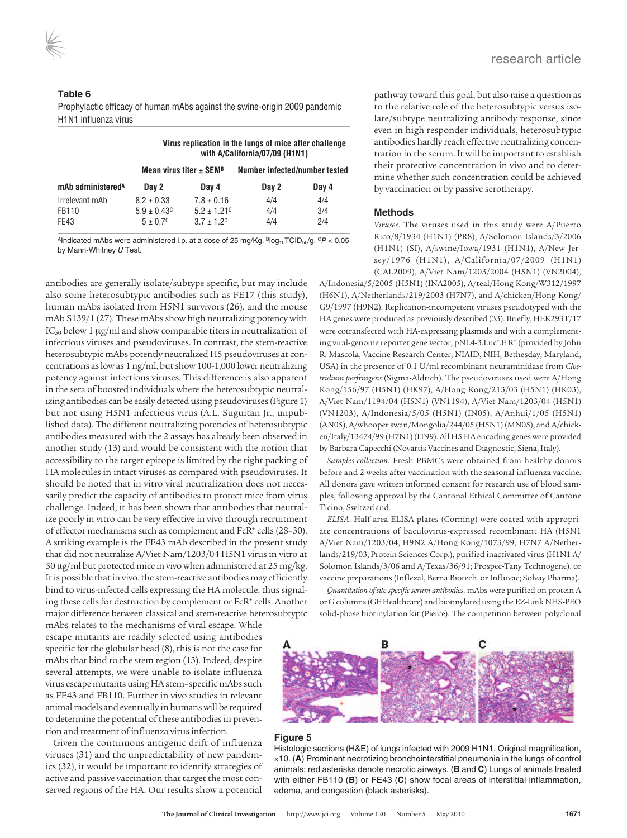#### **Table 6**

Prophylactic efficacy of human mAbs against the swine-origin 2009 pandemic H1N1 influenza virus

|                                 |                                                         |                                                                           | Virus replication in the lungs of mice after challenge<br>with A/California/07/09 (H1N1) |                   |
|---------------------------------|---------------------------------------------------------|---------------------------------------------------------------------------|------------------------------------------------------------------------------------------|-------------------|
|                                 | Mean virus titer $\pm$ SEM <sup>B</sup>                 |                                                                           | Number infected/number tested                                                            |                   |
| mAb administered <sup>A</sup>   | Day 2                                                   | Day 4                                                                     | Day 2                                                                                    | Day 4             |
| Irrelevant mAb<br>FB110<br>FE43 | $8.2 \pm 0.33$<br>$5.9 \pm 0.43^c$<br>$5 + 0.7^{\circ}$ | $7.8 \pm 0.16$<br>$5.2 \pm 1.21$ <sup>c</sup><br>$3.7 + 1.2$ <sup>c</sup> | 4/4<br>4/4<br>4/4                                                                        | 4/4<br>3/4<br>2/4 |

AIndicated mAbs were administered i.p. at a dose of 25 mg/Kg.  $BIOq_{10}TCID_{50}/q.$   $CP < 0.05$ by Mann-Whitney U Test.

antibodies are generally isolate/subtype specific, but may include also some heterosubtypic antibodies such as FE17 (this study), human mAbs isolated from H5N1 survivors (26), and the mouse mAb S139/1 (27). These mAbs show high neutralizing potency with  $IC_{50}$  below 1  $\mu$ g/ml and show comparable titers in neutralization of infectious viruses and pseudoviruses. In contrast, the stem-reactive heterosubtypic mAbs potently neutralized H5 pseudoviruses at concentrations as low as 1 ng/ml, but show 100-1,000 lower neutralizing potency against infectious viruses. This difference is also apparent in the sera of boosted individuals where the heterosubtypic neutralizing antibodies can be easily detected using pseudoviruses (Figure 1) but not using H5N1 infectious virus (A.L. Suguitan Jr., unpublished data). The different neutralizing potencies of heterosubtypic antibodies measured with the 2 assays has already been observed in another study (13) and would be consistent with the notion that accessibility to the target epitope is limited by the tight packing of HA molecules in intact viruses as compared with pseudoviruses. It should be noted that in vitro viral neutralization does not necessarily predict the capacity of antibodies to protect mice from virus challenge. Indeed, it has been shown that antibodies that neutralize poorly in vitro can be very effective in vivo through recruitment of effector mechanisms such as complement and FcR<sup>+</sup> cells (28–30). A striking example is the FE43 mAb described in the present study that did not neutralize A/Viet Nam/1203/04 H5N1 virus in vitro at 50 μg/ml but protected mice in vivo when administered at 25 mg/kg. It is possible that in vivo, the stem-reactive antibodies may efficiently bind to virus-infected cells expressing the HA molecule, thus signaling these cells for destruction by complement or FcR<sup>+</sup> cells. Another major difference between classical and stem-reactive heterosubtypic

mAbs relates to the mechanisms of viral escape. While escape mutants are readily selected using antibodies specific for the globular head (8), this is not the case for mAbs that bind to the stem region (13). Indeed, despite several attempts, we were unable to isolate influenza virus escape mutants using HA stem–specific mAbs such as FE43 and FB110. Further in vivo studies in relevant animal models and eventually in humans will be required to determine the potential of these antibodies in prevention and treatment of influenza virus infection.

Given the continuous antigenic drift of influenza viruses (31) and the unpredictability of new pandemics (32), it would be important to identify strategies of active and passive vaccination that target the most conserved regions of the HA. Our results show a potential

pathway toward this goal, but also raise a question as to the relative role of the heterosubtypic versus isolate/subtype neutralizing antibody response, since even in high responder individuals, heterosubtypic antibodies hardly reach effective neutralizing concentration in the serum. It will be important to establish their protective concentration in vivo and to determine whether such concentration could be achieved by vaccination or by passive serotherapy.

#### **Methods**

*Viruses*. The viruses used in this study were A/Puerto Rico/8/1934 (H1N1) (PR8), A/Solomon Islands/3/2006 (H1N1) (SI), A/swine/Iowa/1931 (H1N1), A/New Jersey/1976 (H1N1), A/California/07/2009 (H1N1) (CAL2009), A/Viet Nam/1203/2004 (H5N1) (VN2004),

A/Indonesia/5/2005 (H5N1) (INA2005), A/teal/Hong Kong/W312/1997 (H6N1), A/Netherlands/219/2003 (H7N7), and A/chicken/Hong Kong/ G9/1997 (H9N2). Replication-incompetent viruses pseudotyped with the HA genes were produced as previously described (33). Briefly, HEK293T/17 were cotransfected with HA-expressing plasmids and with a complementing viral-genome reporter gene vector, pNL4-3.Luc<sup>+</sup> .E-R<sup>+</sup> (provided by John R. Mascola, Vaccine Research Center, NIAID, NIH, Bethesday, Maryland, USA) in the presence of 0.1 U/ml recombinant neuraminidase from *Clostridium perfringens* (Sigma-Aldrich). The pseudoviruses used were A/Hong Kong/156/97 (H5N1) (HK97), A/Hong Kong/213/03 (H5N1) (HK03), A/Viet Nam/1194/04 (H5N1) (VN1194), A/Viet Nam/1203/04 (H5N1) (VN1203), A/Indonesia/5/05 (H5N1) (IN05), A/Anhui/1/05 (H5N1) (AN05), A/whooper swan/Mongolia/244/05 (H5N1) (MN05), and A/chicken/Italy/13474/99 (H7N1) (IT99). All H5 HA encoding genes were provided by Barbara Capecchi (Novartis Vaccines and Diagnostic, Siena, Italy).

*Samples collection*. Fresh PBMCs were obtained from healthy donors before and 2 weeks after vaccination with the seasonal influenza vaccine. All donors gave written informed consent for research use of blood samples, following approval by the Cantonal Ethical Committee of Cantone Ticino, Switzerland.

*ELISA*. Half-area ELISA plates (Corning) were coated with appropriate concentrations of baculovirus-expressed recombinant HA (H5N1 A/Viet Nam/1203/04, H9N2 A/Hong Kong/1073/99, H7N7 A/Netherlands/219/03; Protein Sciences Corp.), purified inactivated virus (H1N1 A/ Solomon Islands/3/06 and A/Texas/36/91; Prospec-Tany Technogene), or vaccine preparations (Inflexal, Berna Biotech, or Influvac; Solvay Pharma).

*Quantitation of site-specific serum antibodies*. mAbs were purified on protein A or G columns (GE Healthcare) and biotinylated using the EZ-Link NHS-PEO solid-phase biotinylation kit (Pierce). The competition between polyclonal



#### **Figure 5**

Histologic sections (H&E) of lungs infected with 2009 H1N1. Original magnification, ×10. (**A**) Prominent necrotizing bronchointerstitial pneumonia in the lungs of control animals; red asterisks denote necrotic airways. (**B** and **C**) Lungs of animals treated with either FB110 (**B**) or FE43 (**C**) show focal areas of interstitial inflammation, edema, and congestion (black asterisks).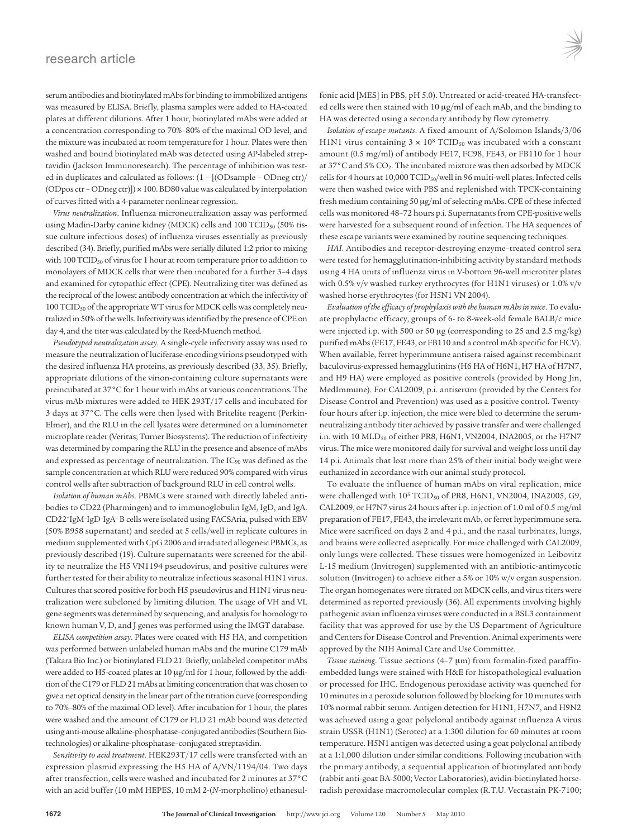serum antibodies and biotinylated mAbs for binding to immobilized antigens was measured by ELISA. Briefly, plasma samples were added to HA-coated plates at different dilutions. After 1 hour, biotinylated mAbs were added at a concentration corresponding to 70%–80% of the maximal OD level, and the mixture was incubated at room temperature for 1 hour. Plates were then washed and bound biotinylated mAb was detected using AP-labeled streptavidin (Jackson Immunoresearch). The percentage of inhibition was tested in duplicates and calculated as follows: (1 – [(ODsample – ODneg ctr)/ (ODpos ctr – ODneg ctr)]) × 100. BD80 value was calculated by interpolation of curves fitted with a 4-parameter nonlinear regression.

*Virus neutralization*. Influenza microneutralization assay was performed using Madin-Darby canine kidney (MDCK) cells and 100 TCID<sub>50</sub> (50% tissue culture infectious doses) of influenza viruses essentially as previously described (34). Briefly, purified mAbs were serially diluted 1:2 prior to mixing with 100 TCID<sub>50</sub> of virus for 1 hour at room temperature prior to addition to monolayers of MDCK cells that were then incubated for a further 3–4 days and examined for cytopathic effect (CPE). Neutralizing titer was defined as the reciprocal of the lowest antibody concentration at which the infectivity of 100 TCID<sub>50</sub> of the appropriate WT virus for MDCK cells was completely neutralized in 50% of the wells. Infectivity was identified by the presence of CPE on day 4, and the titer was calculated by the Reed-Muench method.

*Pseudotyped neutralization assay*. A single-cycle infectivity assay was used to measure the neutralization of luciferase-encoding virions pseudotyped with the desired influenza HA proteins, as previously described (33, 35). Briefly, appropriate dilutions of the virion-containing culture supernatants were preincubated at 37°C for 1 hour with mAbs at various concentrations. The virus-mAb mixtures were added to HEK 293T/17 cells and incubated for 3 days at 37°C. The cells were then lysed with Britelite reagent (Perkin-Elmer), and the RLU in the cell lysates were determined on a luminometer microplate reader (Veritas; Turner Biosystems). The reduction of infectivity was determined by comparing the RLU in the presence and absence of mAbs and expressed as percentage of neutralization. The IC<sub>90</sub> was defined as the sample concentration at which RLU were reduced 90% compared with virus control wells after subtraction of background RLU in cell control wells.

*Isolation of human mAbs*. PBMCs were stained with directly labeled antibodies to CD22 (Pharmingen) and to immunoglobulin IgM, IgD, and IgA. CD22<sup>+</sup> IgM– IgD– IgA– B cells were isolated using FACSAria, pulsed with EBV (50% B958 supernatant) and seeded at 5 cells/well in replicate cultures in medium supplemented with CpG 2006 and irradiated allogeneic PBMCs, as previously described (19). Culture supernatants were screened for the ability to neutralize the H5 VN1194 pseudovirus, and positive cultures were further tested for their ability to neutralize infectious seasonal H1N1 virus. Cultures that scored positive for both H5 pseudovirus and H1N1 virus neutralization were subcloned by limiting dilution. The usage of VH and VL gene segments was determined by sequencing, and analysis for homology to known human V, D, and J genes was performed using the IMGT database.

*ELISA competition assay*. Plates were coated with H5 HA, and competition was performed between unlabeled human mAbs and the murine C179 mAb (Takara Bio Inc.) or biotinylated FLD 21. Briefly, unlabeled competitor mAbs were added to H5-coated plates at 10 μg/ml for 1 hour, followed by the addition of the C179 or FLD 21 mAbs at limiting concentration that was chosen to give a net optical density in the linear part of the titration curve (corresponding to 70%–80% of the maximal OD level). After incubation for 1 hour, the plates were washed and the amount of C179 or FLD 21 mAb bound was detected using anti-mouse alkaline-phosphatase–conjugated antibodies (Southern Biotechnologies) or alkaline-phosphatase–conjugated streptavidin.

*Sensitivity to acid treatment*. HEK293T/17 cells were transfected with an expression plasmid expressing the H5 HA of A/VN/1194/04. Two days after transfection, cells were washed and incubated for 2 minutes at 37°C with an acid buffer (10 mM HEPES, 10 mM 2-(*N*-morpholino) ethanesul-

fonic acid [MES] in PBS, pH 5.0). Untreated or acid-treated HA-transfected cells were then stained with 10 μg/ml of each mAb, and the binding to HA was detected using a secondary antibody by flow cytometry.

*Isolation of escape mutants*. A fixed amount of A/Solomon Islands/3/06 H1N1 virus containing 3  $\times$  10 $^8$  TCID<sub>50</sub> was incubated with a constant amount (0.5 mg/ml) of antibody FE17, FC98, FE43, or FB110 for 1 hour at 37°C and 5% CO2. The incubated mixture was then adsorbed by MDCK cells for 4 hours at 10,000 TCID<sub>50</sub>/well in 96 multi-well plates. Infected cells were then washed twice with PBS and replenished with TPCK-containing fresh medium containing 50 μg/ml of selecting mAbs. CPE of these infected cells was monitored 48–72 hours p.i. Supernatants from CPE-positive wells were harvested for a subsequent round of infection. The HA sequences of these escape variants were examined by routine sequencing techniques.

*HAI*. Antibodies and receptor-destroying enzyme–treated control sera were tested for hemagglutination-inhibiting activity by standard methods using 4 HA units of influenza virus in V-bottom 96-well microtiter plates with 0.5% v/v washed turkey erythrocytes (for H1N1 viruses) or 1.0% v/v washed horse erythrocytes (for H5N1 VN 2004).

*Evaluation of the efficacy of prophylaxis with the human mAbs in mice*. To evaluate prophylactic efficacy, groups of 6- to 8-week-old female BALB/c mice were injected i.p. with 500 or 50 μg (corresponding to 25 and 2.5 mg/kg) purified mAbs (FE17, FE43, or FB110 and a control mAb specific for HCV). When available, ferret hyperimmune antisera raised against recombinant baculovirus-expressed hemagglutinins (H6 HA of H6N1, H7 HA of H7N7, and H9 HA) were employed as positive controls (provided by Hong Jin, MedImmune). For CAL2009, p.i. antiserum (provided by the Centers for Disease Control and Prevention) was used as a positive control. Twentyfour hours after i.p. injection, the mice were bled to determine the serumneutralizing antibody titer achieved by passive transfer and were challenged i.n. with 10 MLD<sub>50</sub> of either PR8, H6N1, VN2004, INA2005, or the H7N7 virus. The mice were monitored daily for survival and weight loss until day 14 p.i. Animals that lost more than 25% of their initial body weight were euthanized in accordance with our animal study protocol.

To evaluate the influence of human mAbs on viral replication, mice were challenged with 10<sup>5</sup> TCID<sub>50</sub> of PR8, H6N1, VN2004, INA2005, G9, CAL2009, or H7N7 virus 24 hours after i.p. injection of 1.0 ml of 0.5 mg/ml preparation of FE17, FE43, the irrelevant mAb, or ferret hyperimmune sera. Mice were sacrificed on days 2 and 4 p.i., and the nasal turbinates, lungs, and brains were collected aseptically. For mice challenged with CAL2009, only lungs were collected. These tissues were homogenized in Leibovitz L-15 medium (Invitrogen) supplemented with an antibiotic-antimycotic solution (Invitrogen) to achieve either a 5% or 10% w/v organ suspension. The organ homogenates were titrated on MDCK cells, and virus titers were determined as reported previously (36). All experiments involving highly pathogenic avian influenza viruses were conducted in a BSL3 containment facility that was approved for use by the US Department of Agriculture and Centers for Disease Control and Prevention. Animal experiments were approved by the NIH Animal Care and Use Committee.

*Tissue staining*. Tissue sections (4–7 μm) from formalin-fixed paraffinembedded lungs were stained with H&E for histopathological evaluation or processed for IHC. Endogenous peroxidase activity was quenched for 10 minutes in a peroxide solution followed by blocking for 10 minutes with 10% normal rabbit serum. Antigen detection for H1N1, H7N7, and H9N2 was achieved using a goat polyclonal antibody against influenza A virus strain USSR (H1N1) (Serotec) at a 1:300 dilution for 60 minutes at room temperature. H5N1 antigen was detected using a goat polyclonal antibody at a 1:1,000 dilution under similar conditions. Following incubation with the primary antibody, a sequential application of biotinylated antibody (rabbit anti-goat BA-5000; Vector Laboratories), avidin-biotinylated horseradish peroxidase macromolecular complex (R.T.U. Vectastain PK-7100;